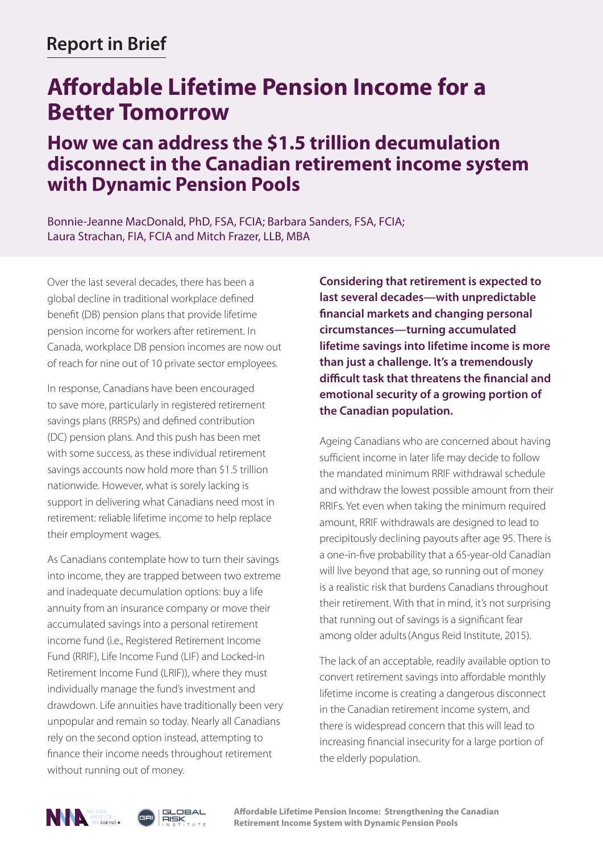## **Report in Brief**

# **Affordable Lifetime Pension Income for a Better Tomorrow**

### **How we can address the \$1.5 trillion decumulation disconnect in the Canadian retirement income system with Dynamic Pension Pools**

Bonnie-Jeanne MacDonald, PhD, FSA, FCIA; Barbara Sanders, FSA, FCIA; Laura Strachan, FIA, FCIA and Mitch Frazer, LLB, MBA

Over the last several decades, there has been a global decline in traditional workplace defined benefit (DB) pension plans that provide lifetime pension income for workers after retirement. In Canada, workplace DB pension incomes are now out of reach for nine out of 10 private sector employees.

In response, Canadians have been encouraged to save more, particularly in registered retirement savings plans (RRSPs) and defined contribution (DC) pension plans. And this push has been met with some success, as these individual retirement savings accounts now hold more than \$1.5 trillion nationwide. However, what is sorely lacking is support in delivering what Canadians need most in retirement: reliable lifetime income to help replace their employment wages.

As Canadians contemplate how to turn their savings into income, they are trapped between two extreme and inadequate decumulation options: buy a life annuity from an insurance company or move their accumulated savings into a personal retirement income fund (i.e., Registered Retirement Income Fund (RRIF), Life Income Fund (LIF) and Locked-in Retirement Income Fund (LRIF)), where they must individually manage the fund's investment and drawdown. Life annuities have traditionally been very unpopular and remain so today. Nearly all Canadians rely on the second option instead, attempting to finance their income needs throughout retirement without running out of money.

**Considering that retirement is expected to last several decades—with unpredictable financial markets and changing personal circumstances—turning accumulated lifetime savings into lifetime income is more than just a challenge. It's a tremendously difficult task that threatens the financial and emotional security of a growing portion of the Canadian population.** 

Ageing Canadians who are concerned about having sufficient income in later life may decide to follow the mandated minimum RRIF withdrawal schedule and withdraw the lowest possible amount from their RRIFs. Yet even when taking the minimum required amount, RRIF withdrawals are designed to lead to precipitously declining payouts after age 95. There is a one-in-five probability that a 65-year-old Canadian will live beyond that age, so running out of money is a realistic risk that burdens Canadians throughout their retirement. With that in mind, it's not surprising that running out of savings is a significant fear among older adults(Angus Reid Institute, 2015).

The lack of an acceptable, readily available option to convert retirement savings into affordable monthly lifetime income is creating a dangerous disconnect in the Canadian retirement income system, and there is widespread concern that this will lead to increasing financial insecurity for a large portion of the elderly population.





**Affordable Lifetime Pension Income: Strengthening the Canadian Retirement Income System with Dynamic Pension Pools**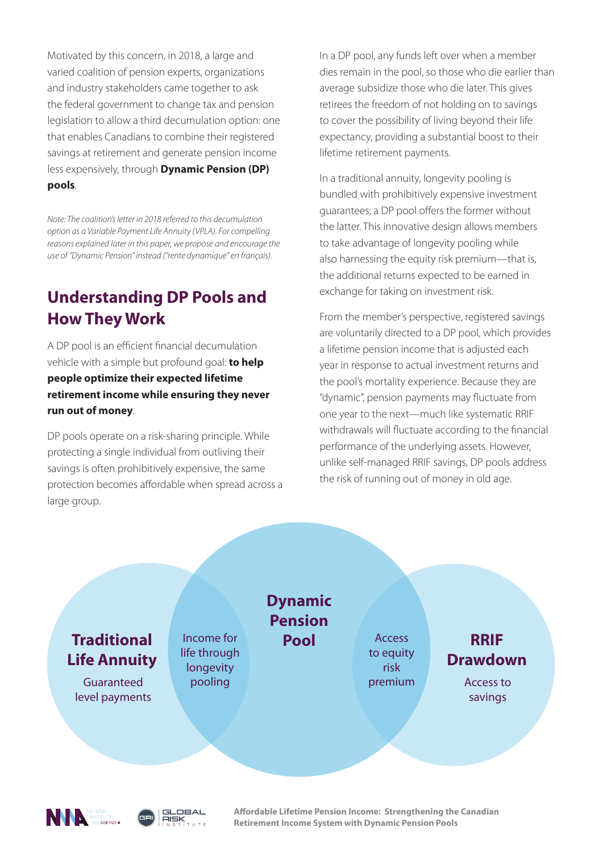Motivated by this concern, in 2018, a large and varied coalition of pension experts, organizations and industry stakeholders came together to ask the federal government to change tax and pension legislation to allow a third decumulation option: one that enables Canadians to combine their registered savings at retirement and generate pension income less expensively, through **Dynamic Pension (DP) pools**.

*Note: The coalition's letter in 2018 referred to this decumulation option as a Variable Payment Life Annuity (VPLA). For compelling reasons explained later in this paper, we propose and encourage the use of "Dynamic Pension" instead ("rente dynamique" en français).*

### **Understanding DP Pools and How They Work**

A DP pool is an efficient financial decumulation vehicle with a simple but profound goal: **to help people optimize their expected lifetime retirement income while ensuring they never run out of money**.

DP pools operate on a risk-sharing principle. While protecting a single individual from outliving their savings is often prohibitively expensive, the same protection becomes affordable when spread across a large group.

In a DP pool, any funds left over when a member dies remain in the pool, so those who die earlier than average subsidize those who die later. This gives retirees the freedom of not holding on to savings to cover the possibility of living beyond their life expectancy, providing a substantial boost to their lifetime retirement payments.

In a traditional annuity, longevity pooling is bundled with prohibitively expensive investment guarantees; a DP pool offers the former without the latter. This innovative design allows members to take advantage of longevity pooling while also harnessing the equity risk premium—that is, the additional returns expected to be earned in exchange for taking on investment risk.

From the member's perspective, registered savings are voluntarily directed to a DP pool, which provides a lifetime pension income that is adjusted each year in response to actual investment returns and the pool's mortality experience. Because they are "dynamic", pension payments may fluctuate from one year to the next—much like systematic RRIF withdrawals will fluctuate according to the financial performance of the underlying assets. However, unlike self-managed RRIF savings, DP pools address the risk of running out of money in old age.





**Affordable Lifetime Pension Income: Strengthening the Canadian Retirement Income System with Dynamic Pension Pools**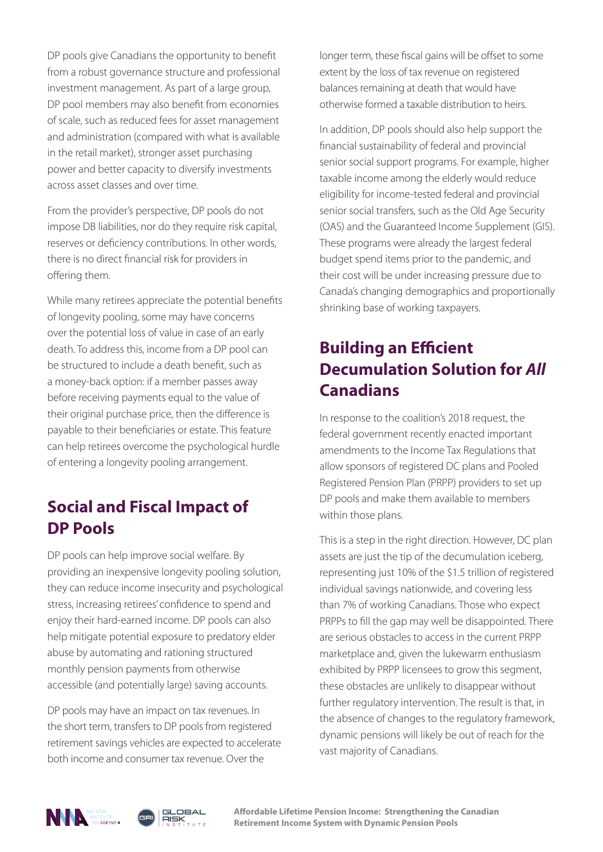DP pools give Canadians the opportunity to benefit from a robust governance structure and professional investment management. As part of a large group, DP pool members may also benefit from economies of scale, such as reduced fees for asset management and administration (compared with what is available in the retail market), stronger asset purchasing power and better capacity to diversify investments across asset classes and over time.

From the provider's perspective, DP pools do not impose DB liabilities, nor do they require risk capital, reserves or deficiency contributions. In other words, there is no direct financial risk for providers in offering them.

While many retirees appreciate the potential benefits of longevity pooling, some may have concerns over the potential loss of value in case of an early death. To address this, income from a DP pool can be structured to include a death benefit, such as a money-back option: if a member passes away before receiving payments equal to the value of their original purchase price, then the difference is payable to their beneficiaries or estate. This feature can help retirees overcome the psychological hurdle of entering a longevity pooling arrangement.

### **Social and Fiscal Impact of DP Pools**

DP pools can help improve social welfare. By providing an inexpensive longevity pooling solution, they can reduce income insecurity and psychological stress, increasing retirees' confidence to spend and enjoy their hard-earned income. DP pools can also help mitigate potential exposure to predatory elder abuse by automating and rationing structured monthly pension payments from otherwise accessible (and potentially large) saving accounts.

DP pools may have an impact on tax revenues. In the short term, transfers to DP pools from registered retirement savings vehicles are expected to accelerate both income and consumer tax revenue. Over the

longer term, these fiscal gains will be offset to some extent by the loss of tax revenue on registered balances remaining at death that would have otherwise formed a taxable distribution to heirs.

In addition, DP pools should also help support the financial sustainability of federal and provincial senior social support programs. For example, higher taxable income among the elderly would reduce eligibility for income-tested federal and provincial senior social transfers, such as the Old Age Security (OAS) and the Guaranteed Income Supplement (GIS). These programs were already the largest federal budget spend items prior to the pandemic, and their cost will be under increasing pressure due to Canada's changing demographics and proportionally shrinking base of working taxpayers.

## **Building an Efficient Decumulation Solution for** *All* **Canadians**

In response to the coalition's 2018 request, the federal government recently enacted important amendments to the Income Tax Regulations that allow sponsors of registered DC plans and Pooled Registered Pension Plan (PRPP) providers to set up DP pools and make them available to members within those plans.

This is a step in the right direction. However, DC plan assets are just the tip of the decumulation iceberg, representing just 10% of the \$1.5 trillion of registered individual savings nationwide, and covering less than 7% of working Canadians. Those who expect PRPPs to fill the gap may well be disappointed. There are serious obstacles to access in the current PRPP marketplace and, given the lukewarm enthusiasm exhibited by PRPP licensees to grow this segment, these obstacles are unlikely to disappear without further regulatory intervention. The result is that, in the absence of changes to the regulatory framework, dynamic pensions will likely be out of reach for the vast majority of Canadians.



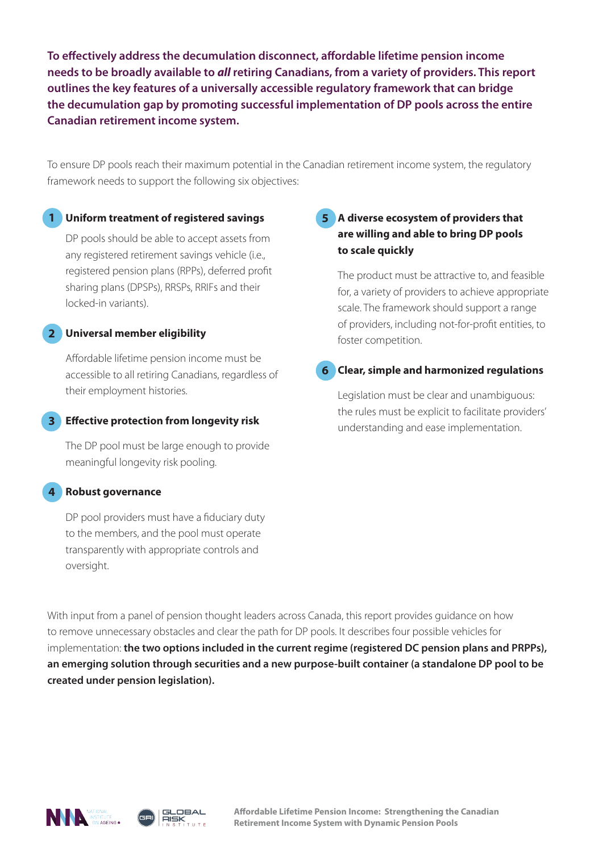**To effectively address the decumulation disconnect, affordable lifetime pension income needs to be broadly available to** *all* **retiring Canadians, from a variety of providers. This report outlines the key features of a universally accessible regulatory framework that can bridge the decumulation gap by promoting successful implementation of DP pools across the entire Canadian retirement income system.** 

To ensure DP pools reach their maximum potential in the Canadian retirement income system, the regulatory framework needs to support the following six objectives:

#### **Uniform treatment of registered savings 1**

DP pools should be able to accept assets from any registered retirement savings vehicle (i.e., registered pension plans (RPPs), deferred profit sharing plans (DPSPs), RRSPs, RRIFs and their locked-in variants).

#### **Universal member eligibility 2**

Affordable lifetime pension income must be accessible to all retiring Canadians, regardless of their employment histories.

### **Effective protection from longevity risk 3**

The DP pool must be large enough to provide meaningful longevity risk pooling.

#### **Robust governance 4**

DP pool providers must have a fiduciary duty to the members, and the pool must operate transparently with appropriate controls and oversight.

### **A diverse ecosystem of providers that 5 are willing and able to bring DP pools to scale quickly**

The product must be attractive to, and feasible for, a variety of providers to achieve appropriate scale. The framework should support a range of providers, including not-for-profit entities, to foster competition.

#### **Clear, simple and harmonized regulations 6**

Legislation must be clear and unambiguous: the rules must be explicit to facilitate providers' understanding and ease implementation.

With input from a panel of pension thought leaders across Canada, this report provides guidance on how to remove unnecessary obstacles and clear the path for DP pools. It describes four possible vehicles for implementation: **the two options included in the current regime (registered DC pension plans and PRPPs), an emerging solution through securities and a new purpose-built container (a standalone DP pool to be created under pension legislation).** 



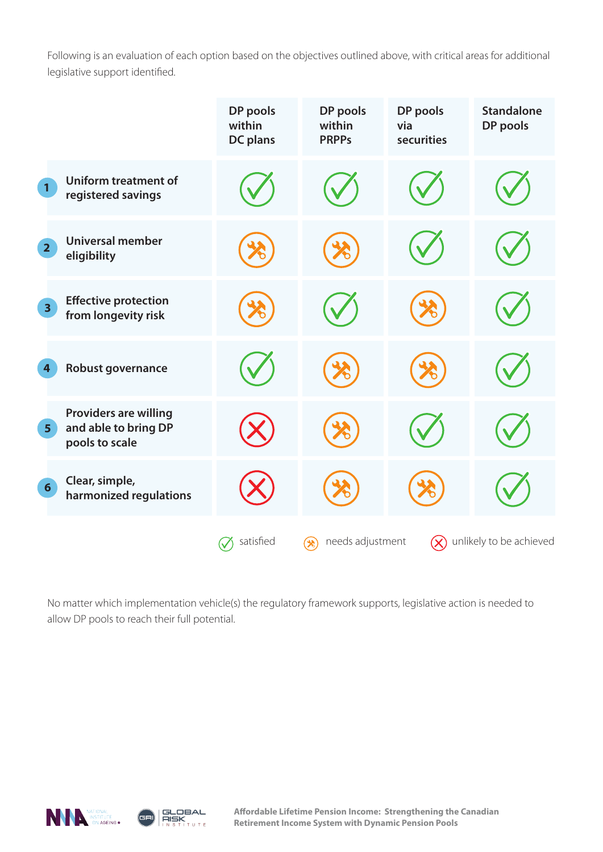Following is an evaluation of each option based on the objectives outlined above, with critical areas for additional legislative support identified.

|                                                                                          | DP pools<br>within<br><b>DC</b> plans | DP pools<br>within<br><b>PRPPs</b> | DP pools<br>via<br>securities | <b>Standalone</b><br>DP pools |
|------------------------------------------------------------------------------------------|---------------------------------------|------------------------------------|-------------------------------|-------------------------------|
| <b>Uniform treatment of</b><br>$\mathbf{1}$<br>registered savings                        |                                       |                                    |                               |                               |
| <b>Universal member</b><br>$\overline{2}$<br>eligibility                                 |                                       |                                    |                               |                               |
| <b>Effective protection</b><br>$\overline{\mathbf{3}}$<br>from longevity risk            |                                       |                                    |                               |                               |
| Robust governance<br>$\boldsymbol{4}$                                                    |                                       |                                    |                               |                               |
| <b>Providers are willing</b><br>and able to bring DP<br>5 <sup>1</sup><br>pools to scale |                                       |                                    |                               |                               |
| Clear, simple,<br>$6\overline{6}$<br>harmonized regulations                              |                                       |                                    |                               |                               |
|                                                                                          | satisfied                             | needs adjustment<br>≫ે             | $(\!\times\!)$                | unlikely to be achieved       |

No matter which implementation vehicle(s) the regulatory framework supports, legislative action is needed to allow DP pools to reach their full potential.





**Affordable Lifetime Pension Income: Strengthening the Canadian Retirement Income System with Dynamic Pension Pools**